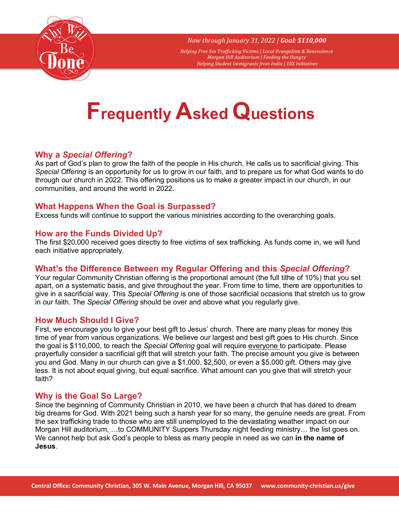

*Now through January 31, 2022 | Goal: \$110,000*

*Helping Free Sex Trafficking Victims | Local Evangelism & Benevolence Morgan Hill Auditorium | Feeding the Hungry Helping Student Immigrants from India | 10X Initiatives*

# **Frequently Asked Questions**

## **Why a** *Special Offering***?**

As part of God's plan to grow the faith of the people in His church, He calls us to sacrificial giving. This *Special Offering* is an opportunity for us to grow in our faith, and to prepare us for what God wants to do through our church in 2022. This offering positions us to make a greater impact in our church, in our communities, and around the world in 2022.

### **What Happens When the Goal is Surpassed?**

Excess funds will continue to support the various ministries according to the overarching goals.

### **How are the Funds Divided Up?**

The first \$20,000 received goes directly to free victims of sex trafficking. As funds come in, we will fund each initiative appropriately.

## **What's the Difference Between my Regular Offering and this** *Special Offering***?**

Your regular Community Christian offering is the proportional amount (the full tithe of 10%) that you set apart, on a systematic basis, and give throughout the year. From time to time, there are opportunities to give in a sacrificial way. This *Special Offering* is one of those sacrificial occasions that stretch us to grow in our faith. The *Special Offering* should be over and above what you regularly give.

### **How Much Should I Give?**

First, we encourage you to give your best gift to Jesus' church. There are many pleas for money this time of year from various organizations. We believe our largest and best gift goes to His church. Since the goal is \$110,000, to reach the *Special Offering* goal will require everyone to participate. Please prayerfully consider a sacrificial gift that will stretch your faith. The precise amount you give is between you and God. Many in our church can give a \$1,000, \$2,500, or even a \$5,000 gift. Others may give less. It is not about equal giving, but equal sacrifice. What amount can you give that will stretch your faith?

### **Why is the Goal So Large?**

Since the beginning of Community Christian in 2010, we have been a church that has dared to dream big dreams for God. With 2021 being such a harsh year for so many, the genuine needs are great. From the sex trafficking trade to those who are still unemployed to the devastating weather impact on our Morgan Hill auditorium, …to COMMUNITY Suppers Thursday night feeding ministry… the list goes on. We cannot help but ask God's people to bless as many people in need as we can **in the name of Jesus**.